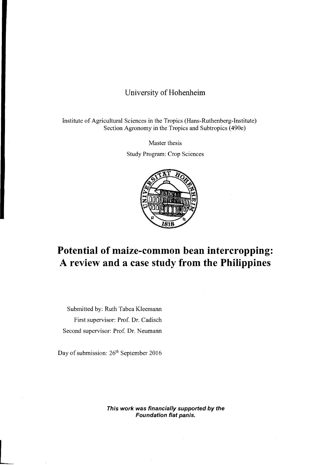## University of **Hohenheim**

Institute of Agricultural Sciences in the Tropics (Hans-Ruthenberg-Institute) Section Agronomy in the Tropics and Subtropics (490e)

Master thesis

Study Program: Crop Sciences



## **Potential of maize-common bean intercropping: A review and a case study from the Philippines**

Submitted by: Ruth Tabea KJeemann First supervisor: Prof. Dr. Cadisch Second supervisor: Prof. Dr. Neumann

Day of submission:  $26<sup>th</sup>$  September 2016

**This work was financially supported by the Foundation fiat panis.**